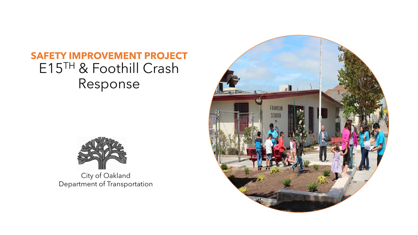## **SAFETY IMPROVEMENT PROJECT** E15TH & Foothill Crash Response



City of Oakland Department of Transportation

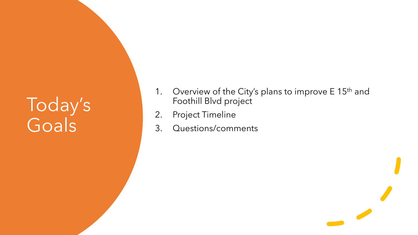# Today's Goals

- 1. Overview of the City's plans to improve E 15<sup>th</sup> and Foothill Blvd project
- 2. Project Timeline
- 3. Questions/comments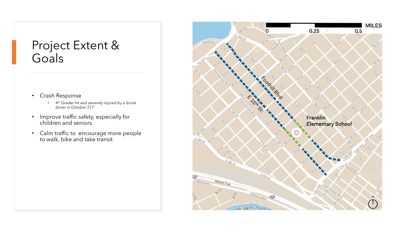## Project Extent & Goals

- Crash Response
	- 4<sup>th</sup> Grader hit and severely injured by a drunk driver in October 217
- Improve traffic safety, especially for children and seniors
- Calm traffic to encourage more people to walk, bike and take transit

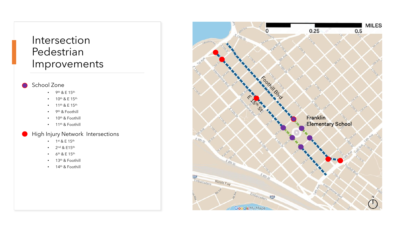## Intersection Pedestrian Improvements

#### School Zone

- 9<sup>th</sup> & E  $15$ <sup>th</sup>
- $10^{\text{th}}$  & E  $15^{\text{th}}$
- 11th & E 15th
- 9<sup>th</sup> & Foothill
- 10<sup>th</sup> & Foothill
- 11<sup>th</sup> & Foothill

### High Injury Network Intersections

- 1st & E 15th
- 2<sup>nd</sup> & E15<sup>th</sup>
- $6th$  & E 15<sup>th</sup>
- 13<sup>th</sup> & Foothill
- 14<sup>th</sup> & Foothill

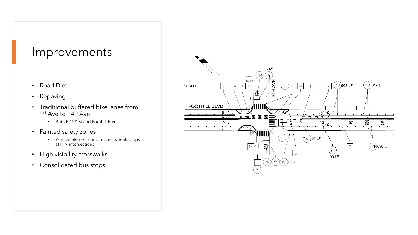### Improvements

- Road Diet
- Repaving
- Traditional buffered bike lanes from 1<sup>st</sup> Ave to 14<sup>th</sup> Ave
	- Both E 15th St and Foothill Blvd
- Painted safety zones
	- Vertical elements and rubber wheels stops at HIN intersections
- High visibility crosswalks
- Consolidated bus stops

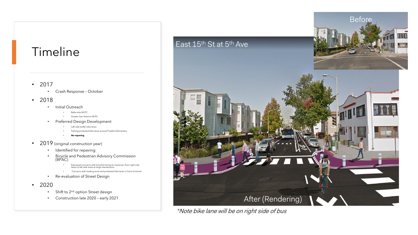# Timeline

- 2017
	- Crash Response October

#### • 2018

- Initial Outreach
	- Bella vista NCPC
	- Greater San Antonio NCPC
- Preferred Design Development
	- Left side buffer bike lanes
	- Parking protected bike lanes around Franklin Elementary
	- **No repaving**
- 2019 (original construction year)
	- Identified for repaving
	- Bicycle and Pedestrian Advisory Commission (BPAC)
		- Expressed concerns with bicyclist having to maneuver from right side lanes to left side lanes at large intersections.
		- Concerns with loading zone and protected bike lanes in front of school
	- Re-evaluation of Street Design
- 2020
	- Shift to 2<sup>nd</sup> option Street design
	- Construction late 2020 early 2021



\*Note bike lane will be on right side of bus